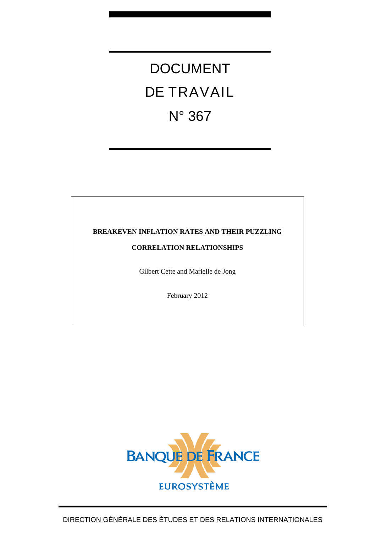# DOCUMENT DE TRAVAIL N° 367

#### **BREAKEVEN INFLATION RATES AND THEIR PUZZLING**

#### **CORRELATION RELATIONSHIPS**

Gilbert Cette and Marielle de Jong

February 2012

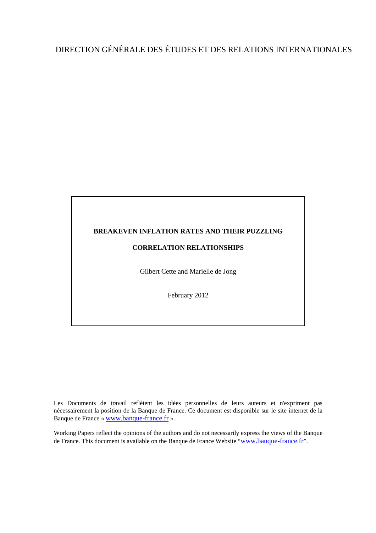## DIRECTION GÉNÉRALE DES ÉTUDES ET DES RELATIONS INTERNATIONALES

## **BREAKEVEN INFLATION RATES AND THEIR PUZZLING**

#### **CORRELATION RELATIONSHIPS**

Gilbert Cette and Marielle de Jong

February 2012

Les Documents de travail reflètent les idées personnelles de leurs auteurs et n'expriment pas nécessairement la position de la Banque de France. Ce document est disponible sur le site internet de la Banque de France « [www.banque-france.fr](http://www.banque-france.fr/) ».

Working Papers reflect the opinions of the authors and do not necessarily express the views of the Banque de France. This document is available on the Banque de France Website "[www.banque-france.fr](http://www.banque-france.fr/)".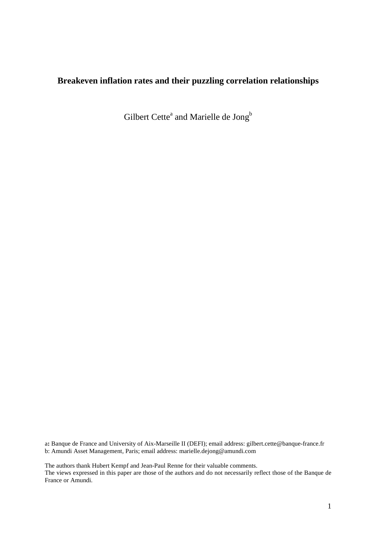### **Breakeven inflation rates and their puzzling correlation relationships**

Gilbert Cette<sup>a</sup> and Marielle de Jong<sup>b</sup>

a**:** Banque de France and University of Aix-Marseille II (DEFI); email address: gilbert.cette@banque-france.fr b: Amundi Asset Management, Paris; email address: marielle.dejong@amundi.com

The authors thank Hubert Kempf and Jean-Paul Renne for their valuable comments.

The views expressed in this paper are those of the authors and do not necessarily reflect those of the Banque de France or Amundi.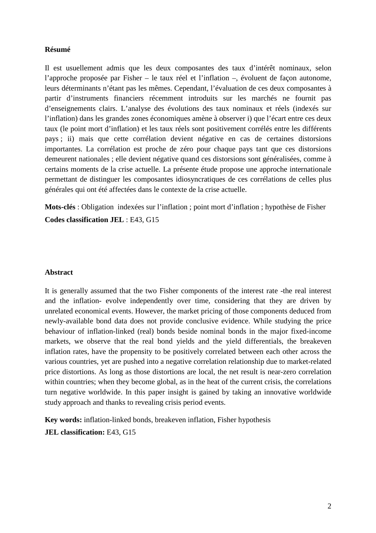#### **Résumé**

Il est usuellement admis que les deux composantes des taux d'intérêt nominaux, selon l'approche proposée par Fisher – le taux réel et l'inflation –, évoluent de façon autonome, leurs déterminants n'étant pas les mêmes. Cependant, l'évaluation de ces deux composantes à partir d'instruments financiers récemment introduits sur les marchés ne fournit pas d'enseignements clairs. L'analyse des évolutions des taux nominaux et réels (indexés sur l'inflation) dans les grandes zones économiques amène à observer i) que l'écart entre ces deux taux (le point mort d'inflation) et les taux réels sont positivement corrélés entre les différents pays ; ii) mais que cette corrélation devient négative en cas de certaines distorsions importantes. La corrélation est proche de zéro pour chaque pays tant que ces distorsions demeurent nationales ; elle devient négative quand ces distorsions sont généralisées, comme à certains moments de la crise actuelle. La présente étude propose une approche internationale permettant de distinguer les composantes idiosyncratiques de ces corrélations de celles plus générales qui ont été affectées dans le contexte de la crise actuelle.

**Mots-clés** : Obligation indexées sur l'inflation ; point mort d'inflation ; hypothèse de Fisher **Codes classification JEL** : E43, G15

#### **Abstract**

It is generally assumed that the two Fisher components of the interest rate -the real interest and the inflation- evolve independently over time, considering that they are driven by unrelated economical events. However, the market pricing of those components deduced from newly-available bond data does not provide conclusive evidence. While studying the price behaviour of inflation-linked (real) bonds beside nominal bonds in the major fixed-income markets, we observe that the real bond yields and the yield differentials, the breakeven inflation rates, have the propensity to be positively correlated between each other across the various countries, yet are pushed into a negative correlation relationship due to market-related price distortions. As long as those distortions are local, the net result is near-zero correlation within countries; when they become global, as in the heat of the current crisis, the correlations turn negative worldwide. In this paper insight is gained by taking an innovative worldwide study approach and thanks to revealing crisis period events.

**Key words:** inflation-linked bonds, breakeven inflation, Fisher hypothesis **JEL classification:** E43, G15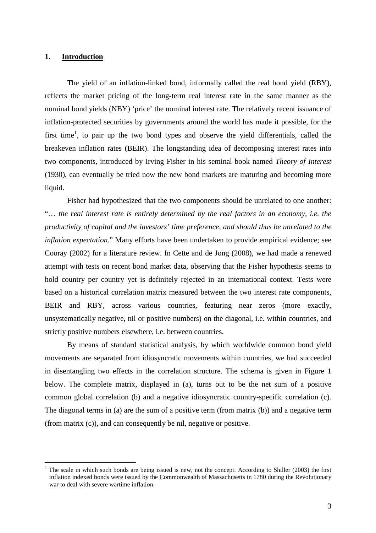#### **1. Introduction**

 $\overline{a}$ 

The yield of an inflation-linked bond, informally called the real bond yield (RBY), reflects the market pricing of the long-term real interest rate in the same manner as the nominal bond yields (NBY) 'price' the nominal interest rate. The relatively recent issuance of inflation-protected securities by governments around the world has made it possible, for the first time<sup>1</sup>, to pair up the two bond types and observe the yield differentials, called the breakeven inflation rates (BEIR). The longstanding idea of decomposing interest rates into two components, introduced by Irving Fisher in his seminal book named *Theory of Interest* (1930), can eventually be tried now the new bond markets are maturing and becoming more liquid.

Fisher had hypothesized that the two components should be unrelated to one another: "… *the real interest rate is entirely determined by the real factors in an economy, i.e. the productivity of capital and the investors' time preference, and should thus be unrelated to the inflation expectation.*" Many efforts have been undertaken to provide empirical evidence; see Cooray (2002) for a literature review. In Cette and de Jong (2008), we had made a renewed attempt with tests on recent bond market data, observing that the Fisher hypothesis seems to hold country per country yet is definitely rejected in an international context. Tests were based on a historical correlation matrix measured between the two interest rate components, BEIR and RBY, across various countries, featuring near zeros (more exactly, unsystematically negative, nil or positive numbers) on the diagonal, i.e. within countries, and strictly positive numbers elsewhere, i.e. between countries.

By means of standard statistical analysis, by which worldwide common bond yield movements are separated from idiosyncratic movements within countries, we had succeeded in disentangling two effects in the correlation structure. The schema is given in Figure 1 below. The complete matrix, displayed in (a), turns out to be the net sum of a positive common global correlation (b) and a negative idiosyncratic country-specific correlation (c). The diagonal terms in (a) are the sum of a positive term (from matrix (b)) and a negative term (from matrix (c)), and can consequently be nil, negative or positive.

<sup>1</sup> The scale in which such bonds are being issued is new, not the concept. According to Shiller (2003) the first inflation indexed bonds were issued by the Commonwealth of Massachusetts in 1780 during the Revolutionary war to deal with severe wartime inflation.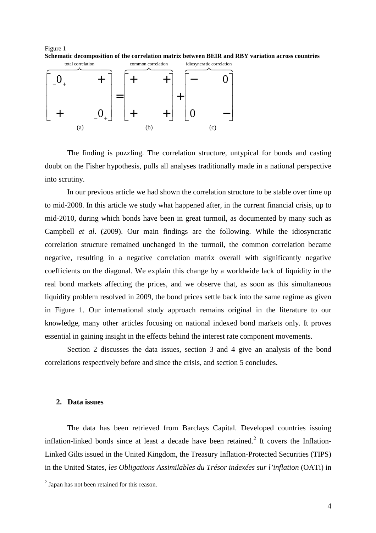



The finding is puzzling. The correlation structure, untypical for bonds and casting doubt on the Fisher hypothesis, pulls all analyses traditionally made in a national perspective into scrutiny.

In our previous article we had shown the correlation structure to be stable over time up to mid-2008. In this article we study what happened after, in the current financial crisis, up to mid-2010, during which bonds have been in great turmoil, as documented by many such as Campbell *et al*. (2009). Our main findings are the following. While the idiosyncratic correlation structure remained unchanged in the turmoil, the common correlation became negative, resulting in a negative correlation matrix overall with significantly negative coefficients on the diagonal. We explain this change by a worldwide lack of liquidity in the real bond markets affecting the prices, and we observe that, as soon as this simultaneous liquidity problem resolved in 2009, the bond prices settle back into the same regime as given in Figure 1. Our international study approach remains original in the literature to our knowledge, many other articles focusing on national indexed bond markets only. It proves essential in gaining insight in the effects behind the interest rate component movements.

Section 2 discusses the data issues, section 3 and 4 give an analysis of the bond correlations respectively before and since the crisis, and section 5 concludes.

#### **2. Data issues**

 $\overline{a}$ 

The data has been retrieved from Barclays Capital. Developed countries issuing inflation-linked bonds since at least a decade have been retained.<sup>2</sup> It covers the Inflation-Linked Gilts issued in the United Kingdom, the Treasury Inflation-Protected Securities (TIPS) in the United States, *les Obligations Assimilables du Trésor indexées sur l'inflation* (OATi) in

<sup>&</sup>lt;sup>2</sup> Japan has not been retained for this reason.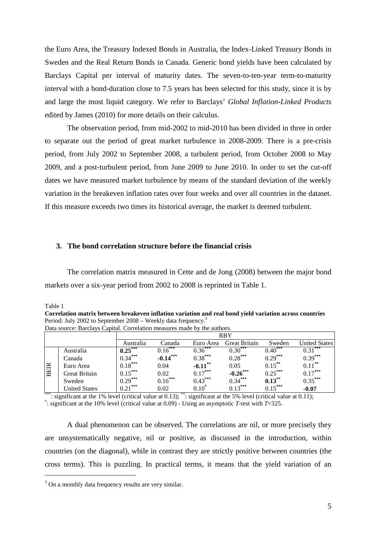the Euro Area, the Treasury Indexed Bonds in Australia, the Index-Linked Treasury Bonds in Sweden and the Real Return Bonds in Canada. Generic bond yields have been calculated by Barclays Capital per interval of maturity dates. The seven-to-ten-year term-to-maturity interval with a bond-duration close to 7.5 years has been selected for this study, since it is by and large the most liquid category. We refer to Barclays' *Global Inflation-Linked Products* edited by James (2010) for more details on their calculus.

The observation period, from mid-2002 to mid-2010 has been divided in three in order to separate out the period of great market turbulence in 2008-2009. There is a pre-crisis period, from July 2002 to September 2008, a turbulent period, from October 2008 to May 2009, and a post-turbulent period, from June 2009 to June 2010. In order to set the cut-off dates we have measured market turbulence by means of the standard deviation of the weekly variation in the breakeven inflation rates over four weeks and over all countries in the dataset. If this measure exceeds two times its historical average, the market is deemed turbulent.

#### **3. The bond correlation structure before the financial crisis**

The correlation matrix measured in Cette and de Jong (2008) between the major bond markets over a six-year period from 2002 to 2008 is reprinted in Table 1.

Table 1

 $\overline{a}$ 

**Correlation matrix between breakeven inflation variation and real bond yield variation across countries**  Period: July 2002 to September 2008 – Weekly data frequency.<sup>3</sup> Data source: Barclays Capital. Correlation measures made by the authors.

|             | Daia source. Darent to Caphan. Correlation measures made by the authors. |           |            |            |                      |           |                      |
|-------------|--------------------------------------------------------------------------|-----------|------------|------------|----------------------|-----------|----------------------|
|             |                                                                          |           | RBY        |            |                      |           |                      |
|             |                                                                          | Australia | Canada     | Euro Area  | <b>Great Britain</b> | Sweden    | <b>United States</b> |
| <b>BEIR</b> | Australia                                                                | $0.25***$ | $0.16***$  | $0.36***$  | $0.30***$            | $0.40***$ | $0.31***$            |
|             | Canada                                                                   | $0.34***$ | $-0.14***$ | $0.38***$  | $0.28***$            | $0.29***$ | $0.39***$            |
|             | Euro Area                                                                | $0.18***$ | 0.04       | $-0.11***$ | 0.05                 | $0.15***$ | $0.11***$            |
|             | <b>Great Britain</b>                                                     | $0.15***$ | 0.02       | $0.17***$  | $-0.26$ ***          | $0.25***$ | $0.17***$            |
|             | Sweden                                                                   | $0.29***$ | $0.16***$  | $0.43***$  | $0.34***$            | $0.13***$ | $0.35***$            |
|             | <b>United States</b>                                                     | $0.21***$ | 0.02       | $0.10^{*}$ | $0.13***$            | $0.15***$ | $-0.07$              |

\*\*\*: significant at the 1% level (critical value at  $0.13$ );  $\cdot\cdot\cdot$  significant at the 5% level (critical value at  $0.11$ ); \* : significant at the 10% level (critical value at 0.09) - Using an asymptotic *T*-test with *T*=325.

A dual phenomenon can be observed. The correlations are nil, or more precisely they are unsystematically negative, nil or positive, as discussed in the introduction, within countries (on the diagonal), while in contrast they are strictly positive between countries (the cross terms). This is puzzling. In practical terms, it means that the yield variation of an

<sup>&</sup>lt;sup>3</sup> On a monthly data frequency results are very similar.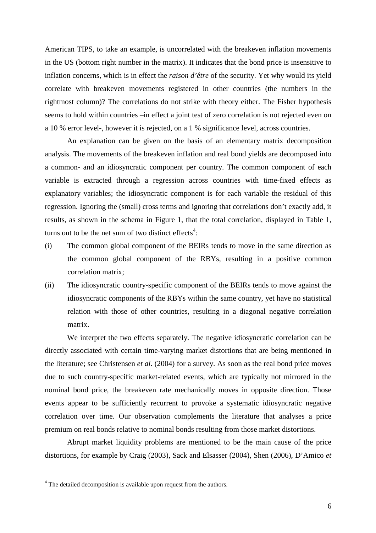American TIPS, to take an example, is uncorrelated with the breakeven inflation movements in the US (bottom right number in the matrix). It indicates that the bond price is insensitive to inflation concerns, which is in effect the *raison d'être* of the security. Yet why would its yield correlate with breakeven movements registered in other countries (the numbers in the rightmost column)? The correlations do not strike with theory either. The Fisher hypothesis seems to hold within countries –in effect a joint test of zero correlation is not rejected even on a 10 % error level-, however it is rejected, on a 1 % significance level, across countries.

An explanation can be given on the basis of an elementary matrix decomposition analysis. The movements of the breakeven inflation and real bond yields are decomposed into a common- and an idiosyncratic component per country. The common component of each variable is extracted through a regression across countries with time-fixed effects as explanatory variables; the idiosyncratic component is for each variable the residual of this regression. Ignoring the (small) cross terms and ignoring that correlations don't exactly add, it results, as shown in the schema in Figure 1, that the total correlation, displayed in Table 1, turns out to be the net sum of two distinct effects<sup>4</sup>:

- (i) The common global component of the BEIRs tends to move in the same direction as the common global component of the RBYs, resulting in a positive common correlation matrix;
- (ii) The idiosyncratic country-specific component of the BEIRs tends to move against the idiosyncratic components of the RBYs within the same country, yet have no statistical relation with those of other countries, resulting in a diagonal negative correlation matrix.

We interpret the two effects separately. The negative idiosyncratic correlation can be directly associated with certain time-varying market distortions that are being mentioned in the literature; see Christensen *et al*. (2004) for a survey. As soon as the real bond price moves due to such country-specific market-related events, which are typically not mirrored in the nominal bond price, the breakeven rate mechanically moves in opposite direction. Those events appear to be sufficiently recurrent to provoke a systematic idiosyncratic negative correlation over time. Our observation complements the literature that analyses a price premium on real bonds relative to nominal bonds resulting from those market distortions.

Abrupt market liquidity problems are mentioned to be the main cause of the price distortions, for example by Craig (2003), Sack and Elsasser (2004), Shen (2006), D'Amico *et* 

 $\overline{a}$ 

<sup>&</sup>lt;sup>4</sup> The detailed decomposition is available upon request from the authors.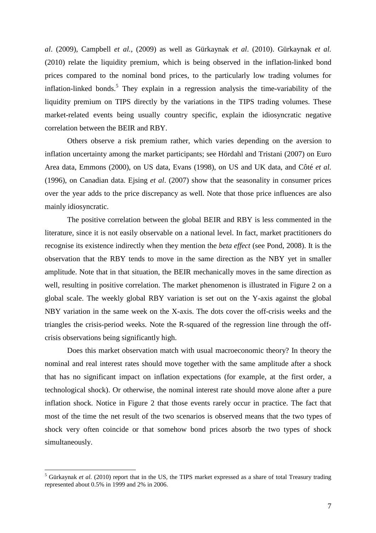*al*. (2009), Campbell *et al.*, (2009) as well as Gürkaynak *et al*. (2010). Gürkaynak *et al.* (2010) relate the liquidity premium, which is being observed in the inflation-linked bond prices compared to the nominal bond prices, to the particularly low trading volumes for inflation-linked bonds.<sup>5</sup> They explain in a regression analysis the time-variability of the liquidity premium on TIPS directly by the variations in the TIPS trading volumes. These market-related events being usually country specific, explain the idiosyncratic negative correlation between the BEIR and RBY.

Others observe a risk premium rather, which varies depending on the aversion to inflation uncertainty among the market participants; see Hördahl and Tristani (2007) on Euro Area data, Emmons (2000), on US data, Evans (1998), on US and UK data, and Côté *et al.* (1996), on Canadian data. Ejsing *et al*. (2007) show that the seasonality in consumer prices over the year adds to the price discrepancy as well. Note that those price influences are also mainly idiosyncratic.

The positive correlation between the global BEIR and RBY is less commented in the literature, since it is not easily observable on a national level. In fact, market practitioners do recognise its existence indirectly when they mention the *beta effect* (see Pond, 2008). It is the observation that the RBY tends to move in the same direction as the NBY yet in smaller amplitude. Note that in that situation, the BEIR mechanically moves in the same direction as well, resulting in positive correlation. The market phenomenon is illustrated in Figure 2 on a global scale. The weekly global RBY variation is set out on the Y-axis against the global NBY variation in the same week on the X-axis. The dots cover the off-crisis weeks and the triangles the crisis-period weeks. Note the R-squared of the regression line through the offcrisis observations being significantly high.

Does this market observation match with usual macroeconomic theory? In theory the nominal and real interest rates should move together with the same amplitude after a shock that has no significant impact on inflation expectations (for example, at the first order, a technological shock). Or otherwise, the nominal interest rate should move alone after a pure inflation shock. Notice in Figure 2 that those events rarely occur in practice. The fact that most of the time the net result of the two scenarios is observed means that the two types of shock very often coincide or that somehow bond prices absorb the two types of shock simultaneously.

<sup>&</sup>lt;sup>5</sup> Gürkaynak *et al.* (2010) report that in the US, the TIPS market expressed as a share of total Treasury trading represented about 0.5% in 1999 and 2% in 2006.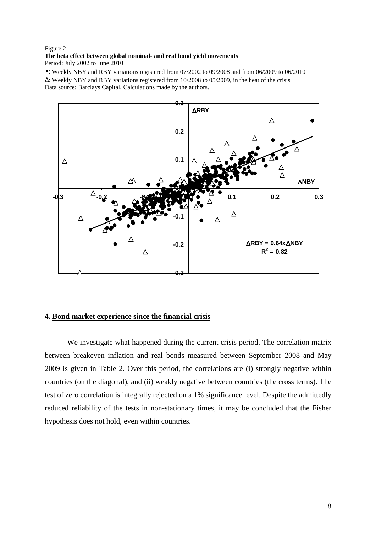#### Figure 2 **The beta effect between global nominal- and real bond yield movements** Period: July 2002 to June 2010

•: Weekly NBY and RBY variations registered from 07/2002 to 09/2008 and from 06/2009 to 06/2010 ∆: Weekly NBY and RBY variations registered from 10/2008 to 05/2009, in the heat of the crisis Data source: Barclays Capital. Calculations made by the authors.



#### **4. Bond market experience since the financial crisis**

We investigate what happened during the current crisis period. The correlation matrix between breakeven inflation and real bonds measured between September 2008 and May 2009 is given in Table 2. Over this period, the correlations are (i) strongly negative within countries (on the diagonal), and (ii) weakly negative between countries (the cross terms). The test of zero correlation is integrally rejected on a 1% significance level. Despite the admittedly reduced reliability of the tests in non-stationary times, it may be concluded that the Fisher hypothesis does not hold, even within countries.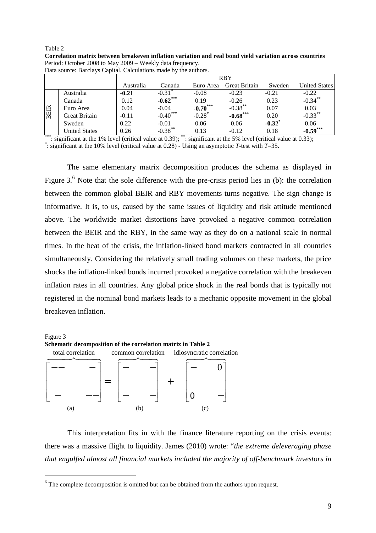#### Table 2 **Correlation matrix between breakeven inflation variation and real bond yield variation across countries**  Period: October 2008 to May 2009 – Weekly data frequency.

| Data source: Barclays Capital. Calculations made by the authors. |  |  |
|------------------------------------------------------------------|--|--|
|                                                                  |  |  |

|             |                      | <b>RBY</b> |                      |            |                      |           |               |
|-------------|----------------------|------------|----------------------|------------|----------------------|-----------|---------------|
|             |                      | Australia  | Canada               | Euro Area  | <b>Great Britain</b> | Sweden    | United States |
| <b>BEIR</b> | Australia            | $-0.21$    | $-0.31$ <sup>*</sup> | $-0.08$    | $-0.23$              | $-0.21$   | $-0.22$       |
|             | Canada               | 0.12       | $-0.62***$           | 0.19       | $-0.26$              | 0.23      | $-0.34***$    |
|             | Euro Area            | 0.04       | $-0.04$              | $-0.70***$ | $-0.38***$           | 0.07      | 0.03          |
|             | <b>Great Britain</b> | $-0.11$    | $-0.40$ ***          | $-0.28$ *  | $-0.68***$           | 0.20      | $-0.33***$    |
|             | Sweden               | 0.22       | $-0.01$              | 0.06       | 0.06                 | $-0.32^*$ | 0.06          |
| 安安安         | United States        | 0.26       | $-0.38***$<br>安安     | 0.13       | $-0.12$              | 0.18      | $-0.59***$    |

: significant at the 1% level (critical value at 0.39);  $\cdot\cdot\cdot$  significant at the 5% level (critical value at 0.33); \* : significant at the 10% level (critical value at 0.28) - Using an asymptotic *T*-test with *T*=35.

The same elementary matrix decomposition produces the schema as displayed in Figure 3. $<sup>6</sup>$  Note that the sole difference with the pre-crisis period lies in (b): the correlation</sup> between the common global BEIR and RBY movements turns negative. The sign change is informative. It is, to us, caused by the same issues of liquidity and risk attitude mentioned above. The worldwide market distortions have provoked a negative common correlation between the BEIR and the RBY, in the same way as they do on a national scale in normal times. In the heat of the crisis, the inflation-linked bond markets contracted in all countries simultaneously. Considering the relatively small trading volumes on these markets, the price shocks the inflation-linked bonds incurred provoked a negative correlation with the breakeven inflation rates in all countries. Any global price shock in the real bonds that is typically not registered in the nominal bond markets leads to a mechanic opposite movement in the global breakeven inflation.



 $\overline{a}$ 

This interpretation fits in with the finance literature reporting on the crisis events: there was a massive flight to liquidity. James (2010) wrote: "*the extreme deleveraging phase that engulfed almost all financial markets included the majority of off-benchmark investors in* 

 $6$  The complete decomposition is omitted but can be obtained from the authors upon request.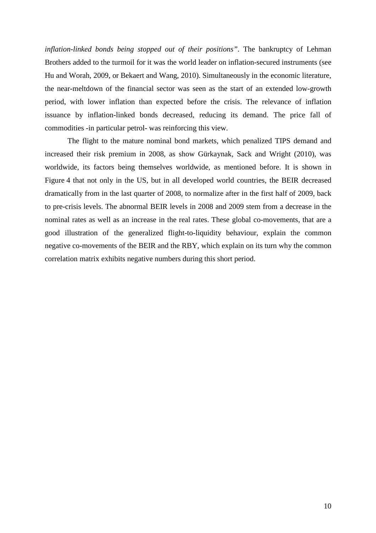*inflation-linked bonds being stopped out of their positions"*. The bankruptcy of Lehman Brothers added to the turmoil for it was the world leader on inflation-secured instruments (see Hu and Worah, 2009, or Bekaert and Wang, 2010). Simultaneously in the economic literature, the near-meltdown of the financial sector was seen as the start of an extended low-growth period, with lower inflation than expected before the crisis. The relevance of inflation issuance by inflation-linked bonds decreased, reducing its demand. The price fall of commodities -in particular petrol- was reinforcing this view.

The flight to the mature nominal bond markets, which penalized TIPS demand and increased their risk premium in 2008, as show Gürkaynak, Sack and Wright (2010), was worldwide, its factors being themselves worldwide, as mentioned before. It is shown in Figure 4 that not only in the US, but in all developed world countries, the BEIR decreased dramatically from in the last quarter of 2008, to normalize after in the first half of 2009, back to pre-crisis levels. The abnormal BEIR levels in 2008 and 2009 stem from a decrease in the nominal rates as well as an increase in the real rates. These global co-movements, that are a good illustration of the generalized flight-to-liquidity behaviour, explain the common negative co-movements of the BEIR and the RBY, which explain on its turn why the common correlation matrix exhibits negative numbers during this short period.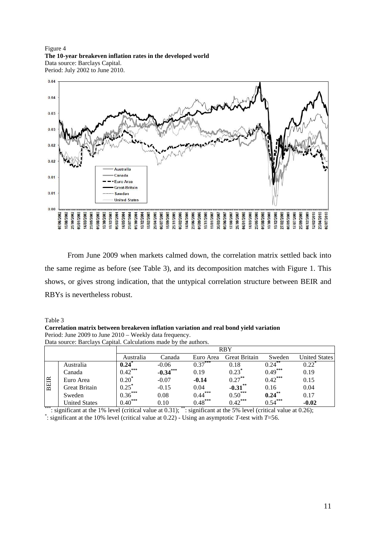Figure 4 **The 10-year breakeven inflation rates in the developed world**  Data source: Barclays Capital. Period: July 2002 to June 2010.



From June 2009 when markets calmed down, the correlation matrix settled back into the same regime as before (see Table 3), and its decomposition matches with Figure 1. This shows, or gives strong indication, that the untypical correlation structure between BEIR and RBYs is nevertheless robust.

Table 3 **Correlation matrix between breakeven inflation variation and real bond yield variation**  Period: June 2009 to June 2010 – Weekly data frequency. Data source: Barclays Capital. Calculations made by the authors. RBY

|             |                      | RB Y      |            |           |                      |           |               |
|-------------|----------------------|-----------|------------|-----------|----------------------|-----------|---------------|
|             |                      | Australia | Canada     | Euro Area | <b>Great Britain</b> | Sweden    | United States |
|             | Australia            | $0.24^*$  | $-0.06$    | $0.37***$ | 0.18                 | $0.24***$ | 0.22          |
| <b>BEIR</b> | Canada               | $0.42***$ | $-0.34***$ | 0.19      | $0.23^*$             | $0.49***$ | 0.19          |
|             | Euro Area            | $0.20*$   | $-0.07$    | $-0.14$   | $0.27***$            | $0.42***$ | 0.15          |
|             | Great Britain        | $0.25^*$  | $-0.15$    | 0.04      | $-0.31***$           | 0.16      | 0.04          |
|             | Sweden               | $0.36***$ | 0.08       | $0.44***$ | $0.50***$            | $0.24***$ | 0.17          |
|             | <b>Inited States</b> | $0.40***$ | 0.10       | $0.48***$ | $0.42***$            | $0.54***$ | $-0.02$       |

 $*$ : significant at the 1% level (critical value at 0.31);  $*$ : significant at the 5% level (critical value at 0.26); \* : significant at the 10% level (critical value at 0.22) - Using an asymptotic *T*-test with *T*=56.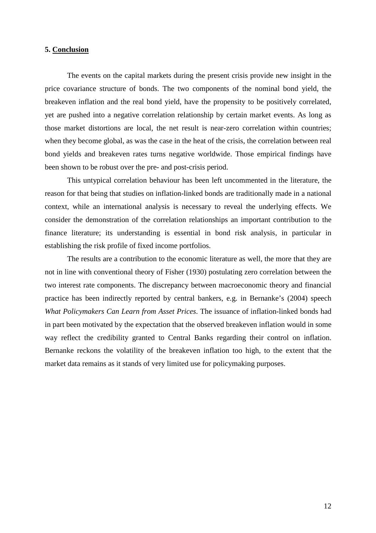#### **5. Conclusion**

 The events on the capital markets during the present crisis provide new insight in the price covariance structure of bonds. The two components of the nominal bond yield, the breakeven inflation and the real bond yield, have the propensity to be positively correlated, yet are pushed into a negative correlation relationship by certain market events. As long as those market distortions are local, the net result is near-zero correlation within countries; when they become global, as was the case in the heat of the crisis, the correlation between real bond yields and breakeven rates turns negative worldwide. Those empirical findings have been shown to be robust over the pre- and post-crisis period.

 This untypical correlation behaviour has been left uncommented in the literature, the reason for that being that studies on inflation-linked bonds are traditionally made in a national context, while an international analysis is necessary to reveal the underlying effects. We consider the demonstration of the correlation relationships an important contribution to the finance literature; its understanding is essential in bond risk analysis, in particular in establishing the risk profile of fixed income portfolios.

The results are a contribution to the economic literature as well, the more that they are not in line with conventional theory of Fisher (1930) postulating zero correlation between the two interest rate components. The discrepancy between macroeconomic theory and financial practice has been indirectly reported by central bankers, e.g. in Bernanke's (2004) speech *What Policymakers Can Learn from Asset Prices*. The issuance of inflation-linked bonds had in part been motivated by the expectation that the observed breakeven inflation would in some way reflect the credibility granted to Central Banks regarding their control on inflation. Bernanke reckons the volatility of the breakeven inflation too high, to the extent that the market data remains as it stands of very limited use for policymaking purposes.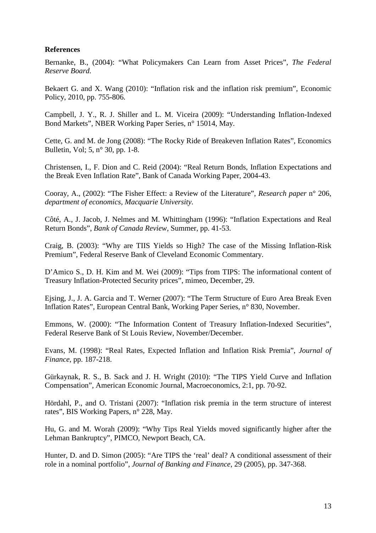#### **References**

Bernanke, B., (2004): "What Policymakers Can Learn from Asset Prices", *The Federal Reserve Board.*

Bekaert G. and X. Wang (2010): "Inflation risk and the inflation risk premium", Economic Policy, 2010, pp. 755-806.

Campbell, J. Y., R. J. Shiller and L. M. Viceira (2009): "Understanding Inflation-Indexed Bond Markets", NBER Working Paper Series, n° 15014, May.

Cette, G. and M. de Jong (2008): "The Rocky Ride of Breakeven Inflation Rates", Economics Bulletin, Vol; 5, n° 30, pp. 1-8.

Christensen, I., F. Dion and C. Reid (2004): "Real Return Bonds, Inflation Expectations and the Break Even Inflation Rate", Bank of Canada Working Paper, 2004-43.

Cooray, A., (2002): "The Fisher Effect: a Review of the Literature", *Research paper* n° 206, *department of economics, Macquarie University*.

Côté, A., J. Jacob, J. Nelmes and M. Whittingham (1996): "Inflation Expectations and Real Return Bonds", *Bank of Canada Review*, Summer, pp. 41-53.

Craig, B. (2003): "Why are TIIS Yields so High? The case of the Missing Inflation-Risk Premium", Federal Reserve Bank of Cleveland Economic Commentary.

D'Amico S., D. H. Kim and M. Wei (2009): "Tips from TIPS: The informational content of Treasury Inflation-Protected Security prices", mimeo, December, 29.

Ejsing, J., J. A. Garcia and T. Werner (2007): "The Term Structure of Euro Area Break Even Inflation Rates", European Central Bank, Working Paper Series, n° 830, November.

Emmons, W. (2000): "The Information Content of Treasury Inflation-Indexed Securities", Federal Reserve Bank of St Louis Review, November/December.

Evans, M. (1998): "Real Rates, Expected Inflation and Inflation Risk Premia", *Journal of Finance*, pp. 187-218.

Gürkaynak, R. S., B. Sack and J. H. Wright (2010): "The TIPS Yield Curve and Inflation Compensation", American Economic Journal, Macroeconomics, 2:1, pp. 70-92.

Hördahl, P., and O. Tristani (2007): "Inflation risk premia in the term structure of interest rates", BIS Working Papers, n° 228, May.

Hu, G. and M. Worah (2009): "Why Tips Real Yields moved significantly higher after the Lehman Bankruptcy", PIMCO, Newport Beach, CA.

Hunter, D. and D. Simon (2005): "Are TIPS the 'real' deal? A conditional assessment of their role in a nominal portfolio", *Journal of Banking and Finance*, 29 (2005), pp. 347-368.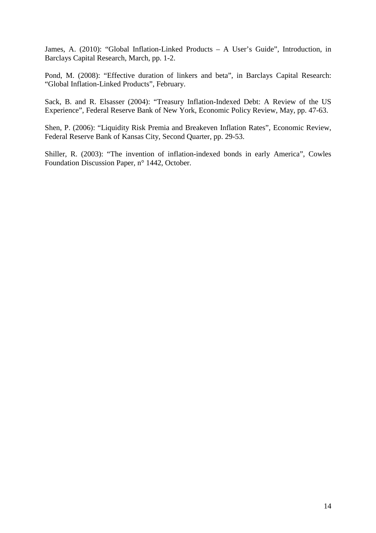James, A. (2010): "Global Inflation-Linked Products – A User's Guide", Introduction, in Barclays Capital Research, March, pp. 1-2.

Pond, M. (2008): "Effective duration of linkers and beta", in Barclays Capital Research: "Global Inflation-Linked Products", February.

Sack, B. and R. Elsasser (2004): "Treasury Inflation-Indexed Debt: A Review of the US Experience", Federal Reserve Bank of New York, Economic Policy Review, May, pp. 47-63.

Shen, P. (2006): "Liquidity Risk Premia and Breakeven Inflation Rates", Economic Review, Federal Reserve Bank of Kansas City, Second Quarter, pp. 29-53.

Shiller, R. (2003): "The invention of inflation-indexed bonds in early America", Cowles Foundation Discussion Paper, n° 1442, October.